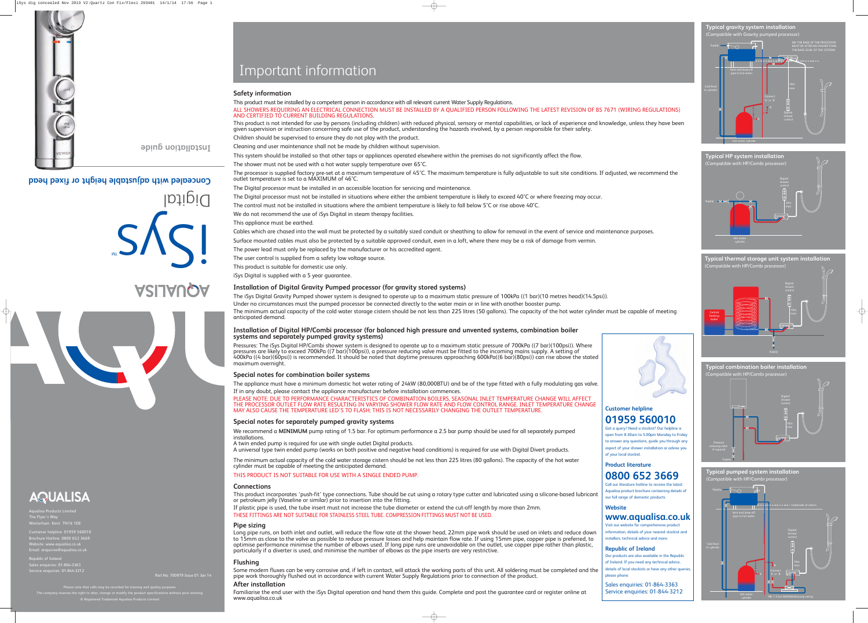Customer helpline: 01959 560010 Brochure Hotline: 0800 652 3669 Website: www.aqualisa.co.uk Email: enquiries@aqualisa.co.uk

Republic of Ireland Sales enquiries: 01-864-3363 Service enquiries: 01-844-3212

> Please note that calls may be recorded for training and quality purpose  $\frac{1}{2}$  reserves the right to alter, change or modify the product specifications without prior warning ® Registered Trademark Aqualisa Products Limited

Part No: 700979 Issue 01 Jan 14

# Important information

# **Safety information**

This product must be installed by a competent person in accordance with all relevant current Water Supply Regulations. ALL SHOWERS REQUIRING AN ELECTRICAL CONNECTION MUST BE INSTALLED BY A QUALIFIED PERSON FOLLOWING THE LATEST REVISION OF BS 7671 (WIRING REGULATIONS) AND CERTIFIED TO CURRENT BUILDING REGULATIONS.

This product is not intended for use by persons (including children) with reduced physical, sensory or mental capabilities, or lack of experience and knowledge, unless they have been given supervision or instruction concerning safe use of the product, understanding the hazards involved, by a person responsible for their safety. Children should be supervised to ensure they do not play with the product.

Cleaning and user maintenance shall not be made by children without supervision.

This system should be installed so that other taps or appliances operated elsewhere within the premises do not significantly affect the flow. The shower must not be used with a hot water supply temperature over 65°C.

The processor is supplied factory pre-set at a maximum temperature of 45°C. The maximum temperature is fully adjustable to suit site conditions. If adjusted, we recommend the outlet temperature is set to a MAXIMUM of 46°C.

The Digital processor must be installed in an accessible location for servicing and maintenance. The Digital processor must not be installed in situations where either the ambient temperature is likely to exceed 40°C or where freezing may occur. The control must not be installed in situations where the ambient temperature is likely to fall below 5°C or rise above 40°C. We do not recommend the use of iSys Digital in steam therapy facilities.

# This appliance must be earthed.

Cables which are chased into the wall must be protected by a suitably sized conduit or sheathing to allow for removal in the event of service and maintenance purposes. Surface mounted cables must also be protected by a suitable approved conduit, even in a loft, where there may be a risk of damage from vermin. The power lead must only be replaced by the manufacturer or his accredited agent. The user control is supplied from a safety low voltage source.

This product is suitable for domestic use only.

iSys Digital is supplied with a 5 year guarantee.

# **Installation of Digital Gravity Pumped processor (for gravity stored systems)**

The iSys Digital Gravity Pumped shower system is designed to operate up to a maximum static pressure of 100kPa ((1 bar)(10 metres head)(14.5psi)). Under no circumstances must the pumped processor be connected directly to the water main or in line with another booster pump. The minimum actual capacity of the cold water storage cistern should be not less than 225 litres (50 gallons). The capacity of the hot water cylinder must be capable of meeting anticipated demand.

## **Installation of Digital HP/Combi processor (for balanced high pressure and unvented systems, combination boiler systems and separately pumped gravity systems)**

Pressures: The iSys Digital HP/Combi shower system is designed to operate up to a maximum static pressure of 700kPa ((7 bar)(100psi)). Where pressures are likely to exceed 700kPa ((7 bar)(100psi)), a pressure reducing valve must be fitted to the incoming mains supply. A setting of 400kPa ((4 bar)(60psi)) is recommended. It should be noted that daytime pressures approaching 600kPa((6 bar)(80psi)) can rise above the stated maximum overnight.



**Typical pumped system installation** Compatible with HP/Combi processor)

# **Special notes for combination boiler systems**



**Typical combination boiler installation** (patible with HP/Combi processor)

The appliance must have a minimum domestic hot water rating of 24kW (80,000BTU) and be of the type fitted with a fully modulating gas valve. If in any doubt, please contact the appliance manufacturer before installation commences.

**Typical thermal storage unit system installation** .<br>Compatible with HP/Combi processor

PLEASE NOTE: DUE TO PERFORMANCE CHARACTERISTICS OF COMBINATION BOILERS, SEASONAL INLET TEMPERATURE CHANGE WILL AFFECT THE PROCESSOR OUTLET FLOW RATE RESULTING IN VARYING SHOWER FLOW RATE AND FLOW CONTROL RANGE. INLET TEMPERATURE CHANGE MAY ALSO CAUSE THE TEMPERATURE LED'S TO FLASH; THIS IS NOT NECESSARILY CHANGING THE OUTLET TEMPERATURE.

## **Special notes for separately pumped gravity systems**

We recommend a **MINIMUM** pump rating of 1.5 bar. For optimum performance a 2.5 bar pump should be used for all separately pumped installations.

A twin ended pump is required for use with single outlet Digital products.

A universal type twin ended pump (works on both positive and negative head conditions) is required for use with Digital Divert products.

The minimum actual capacity of the cold water storage cistern should be not less than 225 litres (80 gallons). The capacity of the hot water cylinder must be capable of meeting the anticipated demand.

# THIS PRODUCT IS NOT SUITABLE FOR USE WITH A SINGLE ENDED PUMP.

# **Connections**

This product incorporates 'push-fit' type connections. Tube should be cut using a rotary type cutter and lubricated using a silicone-based lubricant or petroleum jelly (Vaseline or similar) prior to insertion into the fitting.

### If plastic pipe is used, the tube insert must not increase the tube diameter or extend the cut-off length by more than 2mm. THESE FITTINGS ARE NOT SUITABLE FOR STAINLESS STEEL TUBE. COMPRESSION FITTINGS MUST NOT BE USED.

# **Pipe sizing**

Long pipe runs, on both inlet and outlet, will reduce the flow rate at the shower head, 22mm pipe work should be used on inlets and reduce down to 15mm as close to the valve as possible to reduce pressure losses and help maintain flow rate. If using 15mm pipe, copper pipe is preferred, to optimise performance minimise the number of elbows used. If long pipe runs are unavoidable on the outlet, use copper pipe rather than plastic, particularly if a diverter is used, and minimise the number of elbows as the pipe inserts are very restrictive.

# **Flushing**

Some modern fluxes can be very corrosive and, if left in contact, will attack the working parts of this unit. All soldering must be completed and the pipe work thoroughly flushed out in accordance with current Water Supply Regulations prior to connection of the product.

## **After installation**

Familiarise the end user with the iSys Digital operation and hand them this guide. Complete and post the guarantee card or register online at www.aqualisa.co.uk

# Digital **Concealed with adjustable height or fixed head**

shs! MT

# **ASIJAUQA**



# AQUALISA

Aqualisa Products Limited The Flyer's Way m Kent TN16 1DE



# **Installation guide**

# **Customer helpline 01959 560010**

Got a query? Need a stockist? Our helpline is open from 8.30am to 5.00pm Monday to Friday to answer any questions, guide you through any aspect of your shower installation or advise you of your local stockist.

**Product literature**

# **0800 652 3669** Call our literature hotline to receive the latest

Aqualisa product brochure containing details of our full range of domestic products.

# **Website www.aqualisa.co.uk**

Visit our website for comprehensive product information, details of your nearest stockist and installers, technical advice and more.

# **Republic of Ireland**

Our products are also available in the Republic of Ireland. If you need any technical advice, details of local stockists or have any other queries, please phone:

Sales enquiries: 01-864-3363 Service enquiries: 01-844-3212









**Typical gravity system installation**